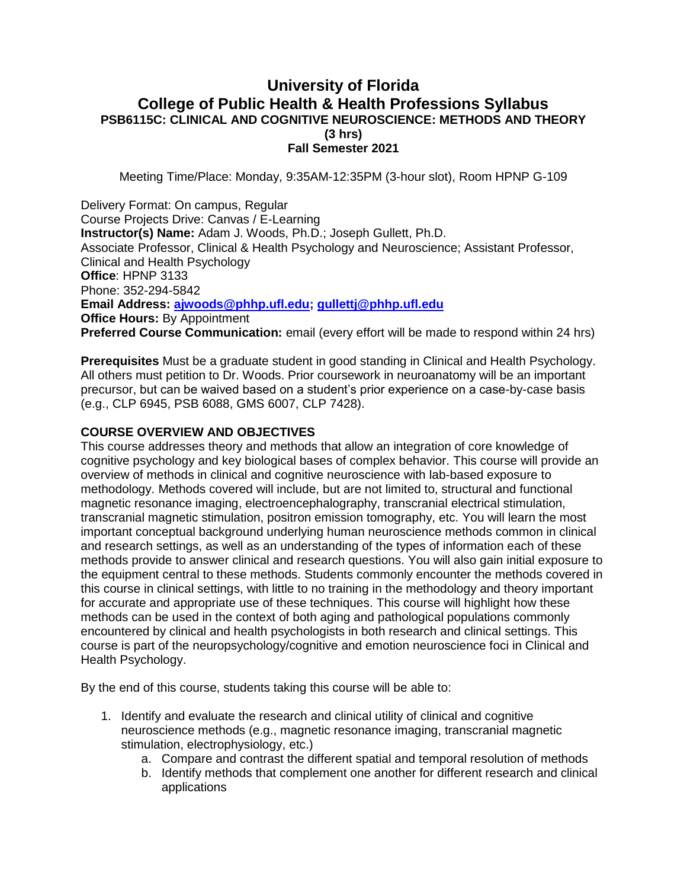# **University of Florida College of Public Health & Health Professions Syllabus PSB6115C: CLINICAL AND COGNITIVE NEUROSCIENCE: METHODS AND THEORY (3 hrs) Fall Semester 2021**

Meeting Time/Place: Monday, 9:35AM-12:35PM (3-hour slot), Room HPNP G-109

Delivery Format: On campus, Regular Course Projects Drive: Canvas / E-Learning **Instructor(s) Name:** Adam J. Woods, Ph.D.; Joseph Gullett, Ph.D. Associate Professor, Clinical & Health Psychology and Neuroscience; Assistant Professor, Clinical and Health Psychology **Office**: HPNP 3133 Phone: 352-294-5842 **Email Address: [ajwoods@phhp.ufl.edu;](mailto:ajwoods@phhp.ufl.edu) [gullettj@phhp.ufl.edu](mailto:gullettj@phhp.ufl.edu) Office Hours: By Appointment Preferred Course Communication:** email (every effort will be made to respond within 24 hrs)

**Prerequisites** Must be a graduate student in good standing in Clinical and Health Psychology. All others must petition to Dr. Woods. Prior coursework in neuroanatomy will be an important precursor, but can be waived based on a student's prior experience on a case-by-case basis (e.g., CLP 6945, PSB 6088, GMS 6007, CLP 7428).

#### **COURSE OVERVIEW AND OBJECTIVES**

This course addresses theory and methods that allow an integration of core knowledge of cognitive psychology and key biological bases of complex behavior. This course will provide an overview of methods in clinical and cognitive neuroscience with lab-based exposure to methodology. Methods covered will include, but are not limited to, structural and functional magnetic resonance imaging, electroencephalography, transcranial electrical stimulation, transcranial magnetic stimulation, positron emission tomography, etc. You will learn the most important conceptual background underlying human neuroscience methods common in clinical and research settings, as well as an understanding of the types of information each of these methods provide to answer clinical and research questions. You will also gain initial exposure to the equipment central to these methods. Students commonly encounter the methods covered in this course in clinical settings, with little to no training in the methodology and theory important for accurate and appropriate use of these techniques. This course will highlight how these methods can be used in the context of both aging and pathological populations commonly encountered by clinical and health psychologists in both research and clinical settings. This course is part of the neuropsychology/cognitive and emotion neuroscience foci in Clinical and Health Psychology.

By the end of this course, students taking this course will be able to:

- 1. Identify and evaluate the research and clinical utility of clinical and cognitive neuroscience methods (e.g., magnetic resonance imaging, transcranial magnetic stimulation, electrophysiology, etc.)
	- a. Compare and contrast the different spatial and temporal resolution of methods
	- b. Identify methods that complement one another for different research and clinical applications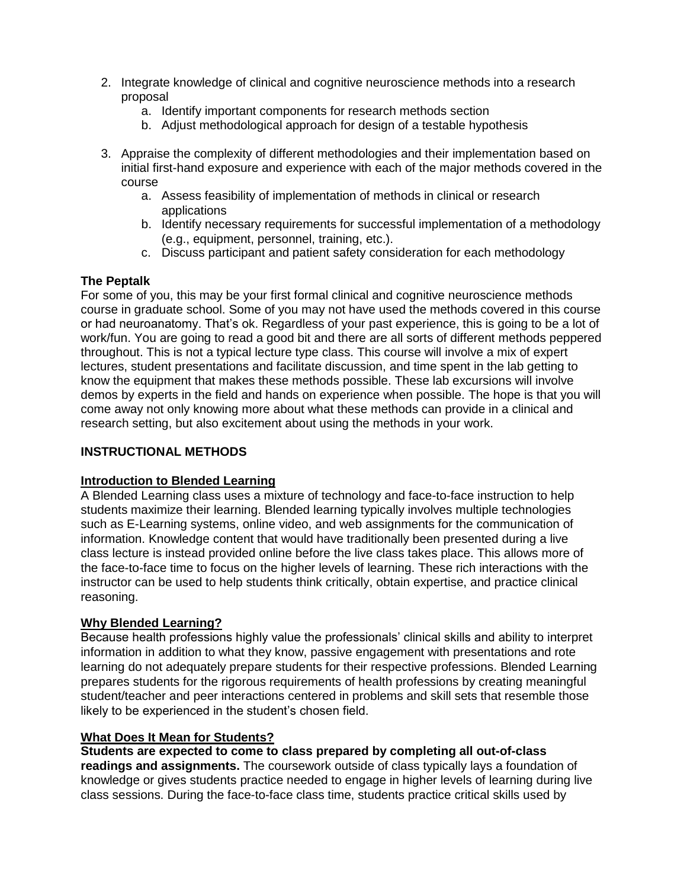- 2. Integrate knowledge of clinical and cognitive neuroscience methods into a research proposal
	- a. Identify important components for research methods section
	- b. Adjust methodological approach for design of a testable hypothesis
- 3. Appraise the complexity of different methodologies and their implementation based on initial first-hand exposure and experience with each of the major methods covered in the course
	- a. Assess feasibility of implementation of methods in clinical or research applications
	- b. Identify necessary requirements for successful implementation of a methodology (e.g., equipment, personnel, training, etc.).
	- c. Discuss participant and patient safety consideration for each methodology

### **The Peptalk**

For some of you, this may be your first formal clinical and cognitive neuroscience methods course in graduate school. Some of you may not have used the methods covered in this course or had neuroanatomy. That's ok. Regardless of your past experience, this is going to be a lot of work/fun. You are going to read a good bit and there are all sorts of different methods peppered throughout. This is not a typical lecture type class. This course will involve a mix of expert lectures, student presentations and facilitate discussion, and time spent in the lab getting to know the equipment that makes these methods possible. These lab excursions will involve demos by experts in the field and hands on experience when possible. The hope is that you will come away not only knowing more about what these methods can provide in a clinical and research setting, but also excitement about using the methods in your work.

### **INSTRUCTIONAL METHODS**

### **Introduction to Blended Learning**

A Blended Learning class uses a mixture of technology and face-to-face instruction to help students maximize their learning. Blended learning typically involves multiple technologies such as E-Learning systems, online video, and web assignments for the communication of information. Knowledge content that would have traditionally been presented during a live class lecture is instead provided online before the live class takes place. This allows more of the face-to-face time to focus on the higher levels of learning. These rich interactions with the instructor can be used to help students think critically, obtain expertise, and practice clinical reasoning.

### **Why Blended Learning?**

Because health professions highly value the professionals' clinical skills and ability to interpret information in addition to what they know, passive engagement with presentations and rote learning do not adequately prepare students for their respective professions. Blended Learning prepares students for the rigorous requirements of health professions by creating meaningful student/teacher and peer interactions centered in problems and skill sets that resemble those likely to be experienced in the student's chosen field.

### **What Does It Mean for Students?**

**Students are expected to come to class prepared by completing all out-of-class readings and assignments.** The coursework outside of class typically lays a foundation of knowledge or gives students practice needed to engage in higher levels of learning during live class sessions. During the face-to-face class time, students practice critical skills used by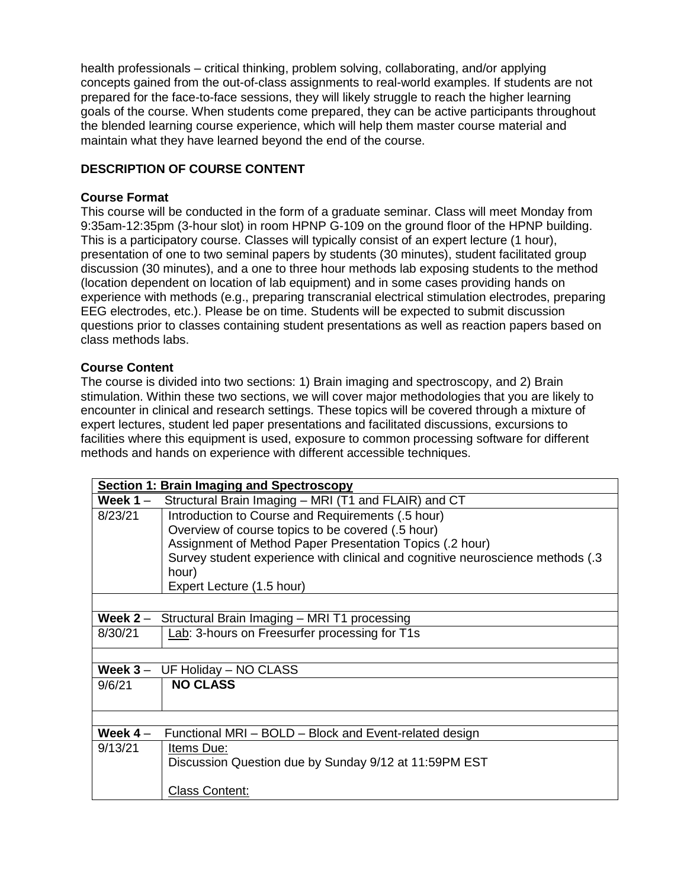health professionals – critical thinking, problem solving, collaborating, and/or applying concepts gained from the out-of-class assignments to real-world examples. If students are not prepared for the face-to-face sessions, they will likely struggle to reach the higher learning goals of the course. When students come prepared, they can be active participants throughout the blended learning course experience, which will help them master course material and maintain what they have learned beyond the end of the course.

# **DESCRIPTION OF COURSE CONTENT**

### **Course Format**

This course will be conducted in the form of a graduate seminar. Class will meet Monday from 9:35am-12:35pm (3-hour slot) in room HPNP G-109 on the ground floor of the HPNP building. This is a participatory course. Classes will typically consist of an expert lecture (1 hour), presentation of one to two seminal papers by students (30 minutes), student facilitated group discussion (30 minutes), and a one to three hour methods lab exposing students to the method (location dependent on location of lab equipment) and in some cases providing hands on experience with methods (e.g., preparing transcranial electrical stimulation electrodes, preparing EEG electrodes, etc.). Please be on time. Students will be expected to submit discussion questions prior to classes containing student presentations as well as reaction papers based on class methods labs.

## **Course Content**

The course is divided into two sections: 1) Brain imaging and spectroscopy, and 2) Brain stimulation. Within these two sections, we will cover major methodologies that you are likely to encounter in clinical and research settings. These topics will be covered through a mixture of expert lectures, student led paper presentations and facilitated discussions, excursions to facilities where this equipment is used, exposure to common processing software for different methods and hands on experience with different accessible techniques.

|            | Section 1: Brain Imaging and Spectroscopy                                       |
|------------|---------------------------------------------------------------------------------|
| Week 1 $-$ | Structural Brain Imaging - MRI (T1 and FLAIR) and CT                            |
| 8/23/21    | Introduction to Course and Requirements (.5 hour)                               |
|            | Overview of course topics to be covered (.5 hour)                               |
|            | Assignment of Method Paper Presentation Topics (.2 hour)                        |
|            | Survey student experience with clinical and cognitive neuroscience methods (.3) |
|            | hour)                                                                           |
|            | Expert Lecture (1.5 hour)                                                       |
|            |                                                                                 |
| Week $2 -$ | Structural Brain Imaging - MRI T1 processing                                    |
| 8/30/21    | Lab: 3-hours on Freesurfer processing for T1s                                   |
|            |                                                                                 |
| Week $3 -$ | UF Holiday - NO CLASS                                                           |
| 9/6/21     | <b>NO CLASS</b>                                                                 |
|            |                                                                                 |
|            |                                                                                 |
| Week $4-$  | Functional MRI - BOLD - Block and Event-related design                          |
| 9/13/21    | Items Due:                                                                      |
|            | Discussion Question due by Sunday 9/12 at 11:59PM EST                           |
|            |                                                                                 |
|            | <b>Class Content:</b>                                                           |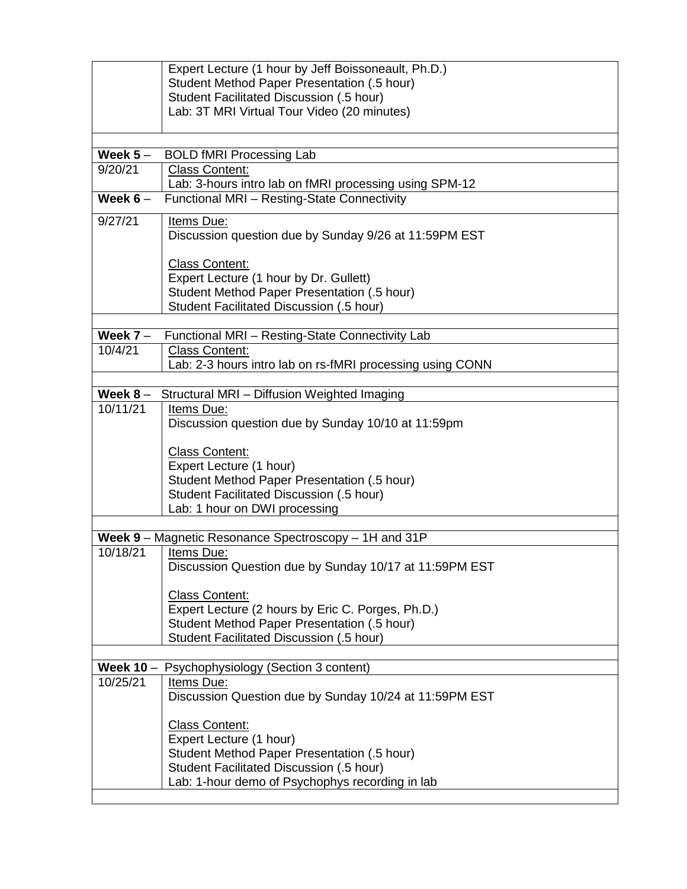|             | Expert Lecture (1 hour by Jeff Boissoneault, Ph.D.)                                              |
|-------------|--------------------------------------------------------------------------------------------------|
|             | Student Method Paper Presentation (.5 hour)                                                      |
|             | Student Facilitated Discussion (.5 hour)<br>Lab: 3T MRI Virtual Tour Video (20 minutes)          |
|             |                                                                                                  |
|             |                                                                                                  |
| Week $5-$   | <b>BOLD fMRI Processing Lab</b>                                                                  |
| 9/20/21     | <b>Class Content:</b>                                                                            |
|             | Lab: 3-hours intro lab on fMRI processing using SPM-12                                           |
| Week $6-$   | Functional MRI - Resting-State Connectivity                                                      |
| 9/27/21     | Items Due:                                                                                       |
|             | Discussion question due by Sunday 9/26 at 11:59PM EST                                            |
|             | <b>Class Content:</b>                                                                            |
|             | Expert Lecture (1 hour by Dr. Gullett)                                                           |
|             | Student Method Paper Presentation (.5 hour)                                                      |
|             | Student Facilitated Discussion (.5 hour)                                                         |
|             |                                                                                                  |
| Week $7 -$  | Functional MRI - Resting-State Connectivity Lab                                                  |
| 10/4/21     | <b>Class Content:</b>                                                                            |
|             | Lab: 2-3 hours intro lab on rs-fMRI processing using CONN                                        |
| Week $8-$   | Structural MRI - Diffusion Weighted Imaging                                                      |
| 10/11/21    | Items Due:                                                                                       |
|             | Discussion question due by Sunday 10/10 at 11:59pm                                               |
|             | <b>Class Content:</b>                                                                            |
|             | Expert Lecture (1 hour)                                                                          |
|             | Student Method Paper Presentation (.5 hour)                                                      |
|             | Student Facilitated Discussion (.5 hour)                                                         |
|             | Lab: 1 hour on DWI processing                                                                    |
|             | Week 9 - Magnetic Resonance Spectroscopy - 1H and 31P                                            |
| 10/18/21    | Items Due:                                                                                       |
|             | Discussion Question due by Sunday 10/17 at 11:59PM EST                                           |
|             |                                                                                                  |
|             | <b>Class Content:</b>                                                                            |
|             | Expert Lecture (2 hours by Eric C. Porges, Ph.D.)<br>Student Method Paper Presentation (.5 hour) |
|             | Student Facilitated Discussion (.5 hour)                                                         |
|             |                                                                                                  |
| Week $10 -$ | Psychophysiology (Section 3 content)                                                             |
| 10/25/21    | Items Due:                                                                                       |
|             | Discussion Question due by Sunday 10/24 at 11:59PM EST                                           |
|             |                                                                                                  |
|             | <b>Class Content:</b><br>Expert Lecture (1 hour)                                                 |
|             | Student Method Paper Presentation (.5 hour)                                                      |
|             | Student Facilitated Discussion (.5 hour)                                                         |
|             | Lab: 1-hour demo of Psychophys recording in lab                                                  |
|             |                                                                                                  |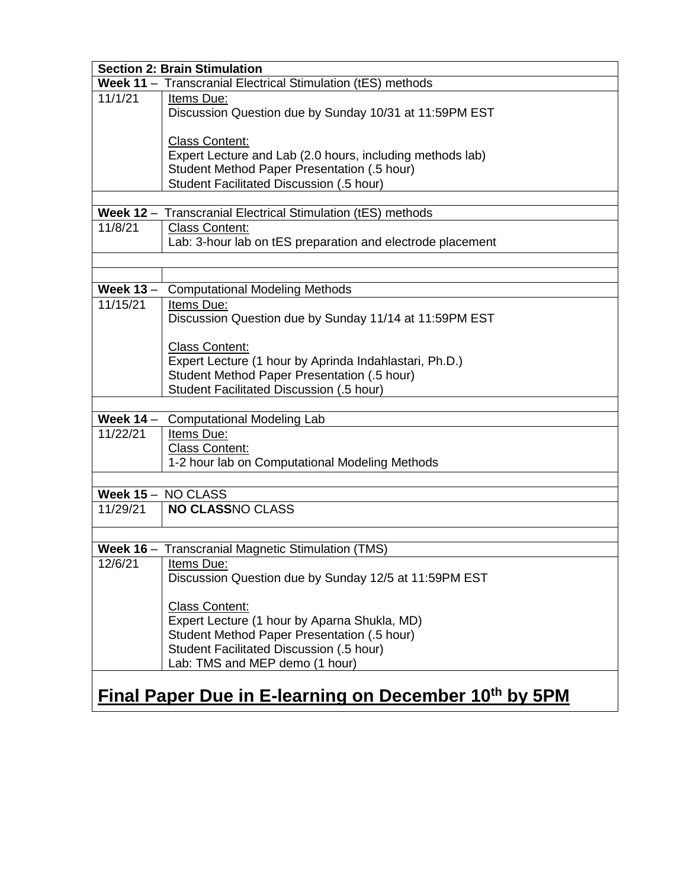|             | <b>Section 2: Brain Stimulation</b>                                 |  |  |  |  |  |  |
|-------------|---------------------------------------------------------------------|--|--|--|--|--|--|
|             | Week 11 - Transcranial Electrical Stimulation (tES) methods         |  |  |  |  |  |  |
| 11/1/21     | Items Due:                                                          |  |  |  |  |  |  |
|             | Discussion Question due by Sunday 10/31 at 11:59PM EST              |  |  |  |  |  |  |
|             |                                                                     |  |  |  |  |  |  |
|             | <b>Class Content:</b>                                               |  |  |  |  |  |  |
|             | Expert Lecture and Lab (2.0 hours, including methods lab)           |  |  |  |  |  |  |
|             | Student Method Paper Presentation (.5 hour)                         |  |  |  |  |  |  |
|             | Student Facilitated Discussion (.5 hour)                            |  |  |  |  |  |  |
|             | Week 12 - Transcranial Electrical Stimulation (tES) methods         |  |  |  |  |  |  |
| 11/8/21     | <b>Class Content:</b>                                               |  |  |  |  |  |  |
|             | Lab: 3-hour lab on tES preparation and electrode placement          |  |  |  |  |  |  |
|             |                                                                     |  |  |  |  |  |  |
|             |                                                                     |  |  |  |  |  |  |
| Week $13 -$ | <b>Computational Modeling Methods</b>                               |  |  |  |  |  |  |
| 11/15/21    | Items Due:                                                          |  |  |  |  |  |  |
|             | Discussion Question due by Sunday 11/14 at 11:59PM EST              |  |  |  |  |  |  |
|             |                                                                     |  |  |  |  |  |  |
|             | <b>Class Content:</b>                                               |  |  |  |  |  |  |
|             | Expert Lecture (1 hour by Aprinda Indahlastari, Ph.D.)              |  |  |  |  |  |  |
|             | Student Method Paper Presentation (.5 hour)                         |  |  |  |  |  |  |
|             | Student Facilitated Discussion (.5 hour)                            |  |  |  |  |  |  |
|             |                                                                     |  |  |  |  |  |  |
| Week $14 -$ | <b>Computational Modeling Lab</b>                                   |  |  |  |  |  |  |
| 11/22/21    | Items Due:                                                          |  |  |  |  |  |  |
|             | <b>Class Content:</b>                                               |  |  |  |  |  |  |
|             | 1-2 hour lab on Computational Modeling Methods                      |  |  |  |  |  |  |
|             |                                                                     |  |  |  |  |  |  |
|             | Week 15 - NO CLASS                                                  |  |  |  |  |  |  |
| 11/29/21    | <b>NO CLASSNO CLASS</b>                                             |  |  |  |  |  |  |
|             |                                                                     |  |  |  |  |  |  |
|             | Week 16 - Transcranial Magnetic Stimulation (TMS)                   |  |  |  |  |  |  |
| 12/6/21     |                                                                     |  |  |  |  |  |  |
|             | Items Due:<br>Discussion Question due by Sunday 12/5 at 11:59PM EST |  |  |  |  |  |  |
|             |                                                                     |  |  |  |  |  |  |
|             | <b>Class Content:</b>                                               |  |  |  |  |  |  |
|             | Expert Lecture (1 hour by Aparna Shukla, MD)                        |  |  |  |  |  |  |
|             | Student Method Paper Presentation (.5 hour)                         |  |  |  |  |  |  |
|             | Student Facilitated Discussion (.5 hour)                            |  |  |  |  |  |  |
|             | Lab: TMS and MEP demo (1 hour)                                      |  |  |  |  |  |  |
|             |                                                                     |  |  |  |  |  |  |
|             | Final Paper Due in E-learning on December 10th by 5PM               |  |  |  |  |  |  |
|             |                                                                     |  |  |  |  |  |  |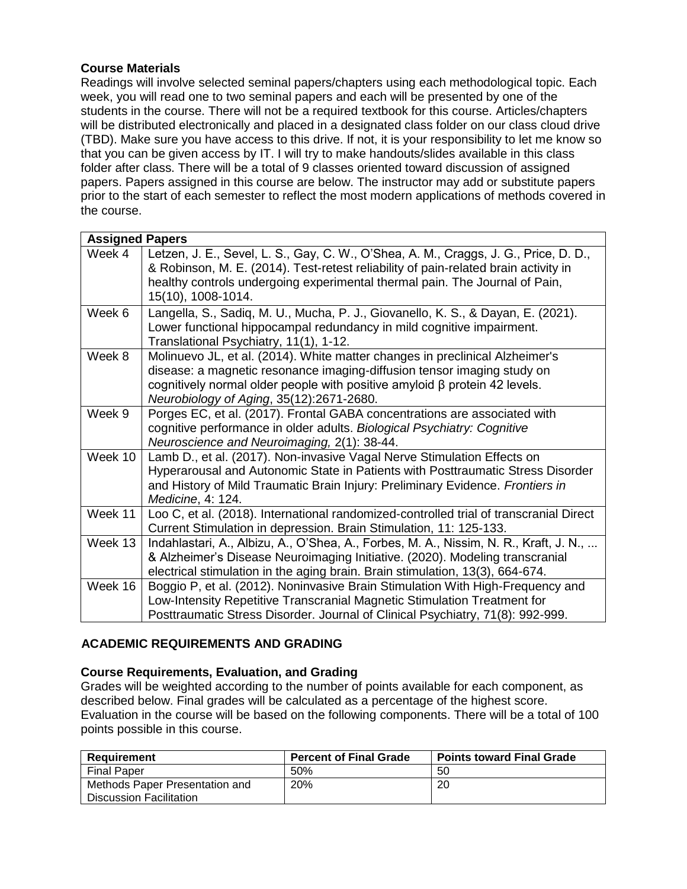## **Course Materials**

Readings will involve selected seminal papers/chapters using each methodological topic. Each week, you will read one to two seminal papers and each will be presented by one of the students in the course. There will not be a required textbook for this course. Articles/chapters will be distributed electronically and placed in a designated class folder on our class cloud drive (TBD). Make sure you have access to this drive. If not, it is your responsibility to let me know so that you can be given access by IT. I will try to make handouts/slides available in this class folder after class. There will be a total of 9 classes oriented toward discussion of assigned papers. Papers assigned in this course are below. The instructor may add or substitute papers prior to the start of each semester to reflect the most modern applications of methods covered in the course.

| <b>Assigned Papers</b> |                                                                                                                                                                                                                                                                                         |
|------------------------|-----------------------------------------------------------------------------------------------------------------------------------------------------------------------------------------------------------------------------------------------------------------------------------------|
| Week 4                 | Letzen, J. E., Sevel, L. S., Gay, C. W., O'Shea, A. M., Craggs, J. G., Price, D. D.,<br>& Robinson, M. E. (2014). Test-retest reliability of pain-related brain activity in<br>healthy controls undergoing experimental thermal pain. The Journal of Pain,<br>15(10), 1008-1014.        |
| Week 6                 | Langella, S., Sadiq, M. U., Mucha, P. J., Giovanello, K. S., & Dayan, E. (2021).<br>Lower functional hippocampal redundancy in mild cognitive impairment.<br>Translational Psychiatry, 11(1), 1-12.                                                                                     |
| Week 8                 | Molinuevo JL, et al. (2014). White matter changes in preclinical Alzheimer's<br>disease: a magnetic resonance imaging-diffusion tensor imaging study on<br>cognitively normal older people with positive amyloid $\beta$ protein 42 levels.<br>Neurobiology of Aging, 35(12):2671-2680. |
| Week 9                 | Porges EC, et al. (2017). Frontal GABA concentrations are associated with<br>cognitive performance in older adults. Biological Psychiatry: Cognitive<br>Neuroscience and Neuroimaging, 2(1): 38-44.                                                                                     |
| Week 10                | Lamb D., et al. (2017). Non-invasive Vagal Nerve Stimulation Effects on<br>Hyperarousal and Autonomic State in Patients with Posttraumatic Stress Disorder<br>and History of Mild Traumatic Brain Injury: Preliminary Evidence. Frontiers in<br>Medicine, 4: 124.                       |
| Week 11                | Loo C, et al. (2018). International randomized-controlled trial of transcranial Direct<br>Current Stimulation in depression. Brain Stimulation, 11: 125-133.                                                                                                                            |
| Week 13                | Indahlastari, A., Albizu, A., O'Shea, A., Forbes, M. A., Nissim, N. R., Kraft, J. N.,<br>& Alzheimer's Disease Neuroimaging Initiative. (2020). Modeling transcranial<br>electrical stimulation in the aging brain. Brain stimulation, 13(3), 664-674.                                  |
| Week 16                | Boggio P, et al. (2012). Noninvasive Brain Stimulation With High-Frequency and<br>Low-Intensity Repetitive Transcranial Magnetic Stimulation Treatment for<br>Posttraumatic Stress Disorder. Journal of Clinical Psychiatry, 71(8): 992-999.                                            |

# **ACADEMIC REQUIREMENTS AND GRADING**

### **Course Requirements, Evaluation, and Grading**

Grades will be weighted according to the number of points available for each component, as described below. Final grades will be calculated as a percentage of the highest score. Evaluation in the course will be based on the following components. There will be a total of 100 points possible in this course.

| Reauirement                                               | <b>Percent of Final Grade</b> | <b>Points toward Final Grade</b> |  |  |
|-----------------------------------------------------------|-------------------------------|----------------------------------|--|--|
| <b>Final Paper</b>                                        | 50%                           | 50                               |  |  |
| Methods Paper Presentation and<br>Discussion Facilitation | <b>20%</b>                    | 20                               |  |  |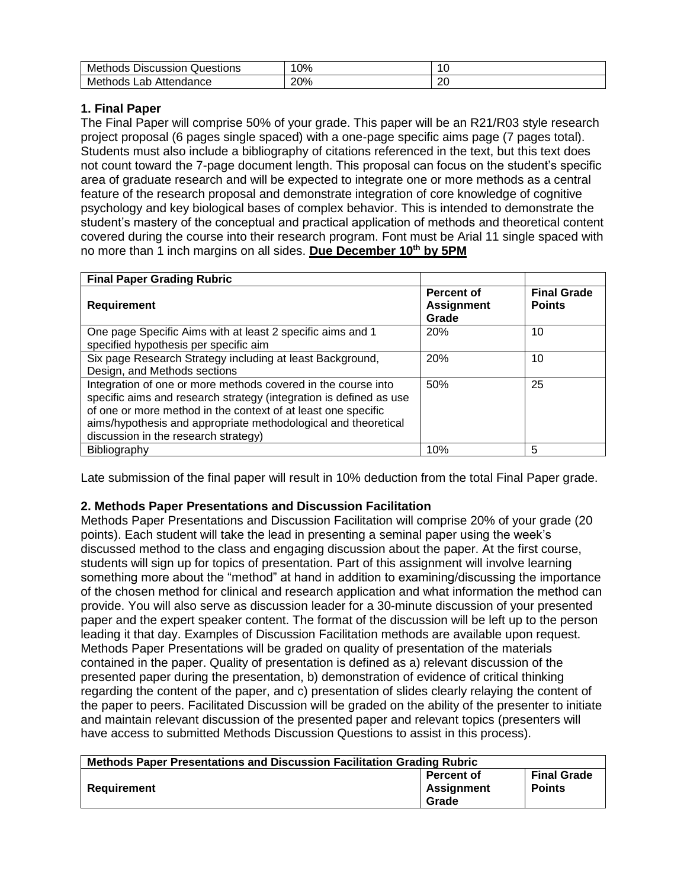| Me<br>scussion<br>Questions<br>hods<br>--<br>ЛS                        | 0%  | $\overline{ }$<br>ີ |
|------------------------------------------------------------------------|-----|---------------------|
| ме<br>$\sim$<br>--<br>hods<br><b></b><br>T<br>Lau<br>- 991 1992<br>ושו | 20% | or<br>∠∪            |

# **1. Final Paper**

The Final Paper will comprise 50% of your grade. This paper will be an R21/R03 style research project proposal (6 pages single spaced) with a one-page specific aims page (7 pages total). Students must also include a bibliography of citations referenced in the text, but this text does not count toward the 7-page document length. This proposal can focus on the student's specific area of graduate research and will be expected to integrate one or more methods as a central feature of the research proposal and demonstrate integration of core knowledge of cognitive psychology and key biological bases of complex behavior. This is intended to demonstrate the student's mastery of the conceptual and practical application of methods and theoretical content covered during the course into their research program. Font must be Arial 11 single spaced with no more than 1 inch margins on all sides. **Due December 10th by 5PM**

| <b>Final Paper Grading Rubric</b>                                                                                                                                                                                                                                                                              |                                          |                                     |
|----------------------------------------------------------------------------------------------------------------------------------------------------------------------------------------------------------------------------------------------------------------------------------------------------------------|------------------------------------------|-------------------------------------|
| Requirement                                                                                                                                                                                                                                                                                                    | Percent of<br><b>Assignment</b><br>Grade | <b>Final Grade</b><br><b>Points</b> |
| One page Specific Aims with at least 2 specific aims and 1<br>specified hypothesis per specific aim                                                                                                                                                                                                            | 20%                                      | 10                                  |
| Six page Research Strategy including at least Background,<br>Design, and Methods sections                                                                                                                                                                                                                      | 20%                                      | 10                                  |
| Integration of one or more methods covered in the course into<br>specific aims and research strategy (integration is defined as use<br>of one or more method in the context of at least one specific<br>aims/hypothesis and appropriate methodological and theoretical<br>discussion in the research strategy) | 50%                                      | 25                                  |
| Bibliography                                                                                                                                                                                                                                                                                                   | 10%                                      | 5                                   |

Late submission of the final paper will result in 10% deduction from the total Final Paper grade.

### **2. Methods Paper Presentations and Discussion Facilitation**

Methods Paper Presentations and Discussion Facilitation will comprise 20% of your grade (20 points). Each student will take the lead in presenting a seminal paper using the week's discussed method to the class and engaging discussion about the paper. At the first course, students will sign up for topics of presentation. Part of this assignment will involve learning something more about the "method" at hand in addition to examining/discussing the importance of the chosen method for clinical and research application and what information the method can provide. You will also serve as discussion leader for a 30-minute discussion of your presented paper and the expert speaker content. The format of the discussion will be left up to the person leading it that day. Examples of Discussion Facilitation methods are available upon request. Methods Paper Presentations will be graded on quality of presentation of the materials contained in the paper. Quality of presentation is defined as a) relevant discussion of the presented paper during the presentation, b) demonstration of evidence of critical thinking regarding the content of the paper, and c) presentation of slides clearly relaying the content of the paper to peers. Facilitated Discussion will be graded on the ability of the presenter to initiate and maintain relevant discussion of the presented paper and relevant topics (presenters will have access to submitted Methods Discussion Questions to assist in this process).

| Methods Paper Presentations and Discussion Facilitation Grading Rubric |                                                 |                                     |  |  |  |  |
|------------------------------------------------------------------------|-------------------------------------------------|-------------------------------------|--|--|--|--|
| Requirement                                                            | <b>Percent of</b><br><b>Assignment</b><br>Grade | <b>Final Grade</b><br><b>Points</b> |  |  |  |  |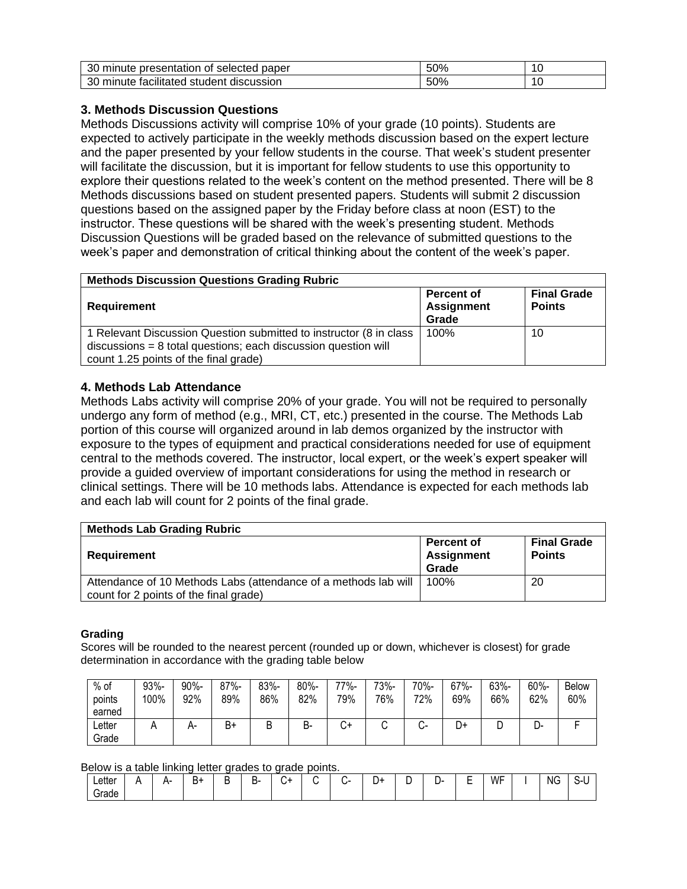| oc<br>paper<br>presentation<br>selected<br>minute<br>Οt | 50%  | - |
|---------------------------------------------------------|------|---|
| ററ<br>discussion<br>minute<br>studen<br>tacilitateo     | -50% | - |

### **3. Methods Discussion Questions**

Methods Discussions activity will comprise 10% of your grade (10 points). Students are expected to actively participate in the weekly methods discussion based on the expert lecture and the paper presented by your fellow students in the course. That week's student presenter will facilitate the discussion, but it is important for fellow students to use this opportunity to explore their questions related to the week's content on the method presented. There will be 8 Methods discussions based on student presented papers. Students will submit 2 discussion questions based on the assigned paper by the Friday before class at noon (EST) to the instructor. These questions will be shared with the week's presenting student. Methods Discussion Questions will be graded based on the relevance of submitted questions to the week's paper and demonstration of critical thinking about the content of the week's paper.

| <b>Methods Discussion Questions Grading Rubric</b>                                                                                                                               |                                                 |                                     |  |  |  |  |  |
|----------------------------------------------------------------------------------------------------------------------------------------------------------------------------------|-------------------------------------------------|-------------------------------------|--|--|--|--|--|
| Requirement                                                                                                                                                                      | <b>Percent of</b><br><b>Assignment</b><br>Grade | <b>Final Grade</b><br><b>Points</b> |  |  |  |  |  |
| 1 Relevant Discussion Question submitted to instructor (8 in class)<br>$discussions = 8$ total questions; each discussion question will<br>count 1.25 points of the final grade) | 100%                                            | 10                                  |  |  |  |  |  |

#### **4. Methods Lab Attendance**

Methods Labs activity will comprise 20% of your grade. You will not be required to personally undergo any form of method (e.g., MRI, CT, etc.) presented in the course. The Methods Lab portion of this course will organized around in lab demos organized by the instructor with exposure to the types of equipment and practical considerations needed for use of equipment central to the methods covered. The instructor, local expert, or the week's expert speaker will provide a guided overview of important considerations for using the method in research or clinical settings. There will be 10 methods labs. Attendance is expected for each methods lab and each lab will count for 2 points of the final grade.

| <b>Methods Lab Grading Rubric</b>                                                                         |                                                 |                                     |  |  |  |  |  |  |
|-----------------------------------------------------------------------------------------------------------|-------------------------------------------------|-------------------------------------|--|--|--|--|--|--|
| Requirement                                                                                               | <b>Percent of</b><br><b>Assignment</b><br>Grade | <b>Final Grade</b><br><b>Points</b> |  |  |  |  |  |  |
| Attendance of 10 Methods Labs (attendance of a methods lab will<br>count for 2 points of the final grade) | 100%                                            | 20                                  |  |  |  |  |  |  |

#### **Grading**

Scores will be rounded to the nearest percent (rounded up or down, whichever is closest) for grade determination in accordance with the grading table below

| $%$ of<br>points<br>earned | 93%-<br>100% | 90%-<br>92% | $87% -$<br>89% | 83%-<br>86% | $80% -$<br>82% | 77%-<br>79% | 73%-<br>76% | 70%-<br>72%  | $67% -$<br>69% | 63%-<br>66% | 60%-<br>62% | <b>Below</b><br>60% |
|----------------------------|--------------|-------------|----------------|-------------|----------------|-------------|-------------|--------------|----------------|-------------|-------------|---------------------|
| ∟etter<br>Grade            | n            | $H^-$       | B+             | ◡           | В-             | +ب          | ີ           | $\mathbf{v}$ | D+             | ◡           | -ل          |                     |

#### Below is a table linking letter grades to grade points.

| $\cdots$<br>Letter | . . | --<br>. . | В+ | . . | -<br>. .<br><u>_</u><br>- |  | - 1 | ⊾۱<br> | $\sim$ | . | -<br>- | WF | <b>NG</b> | ∼ |
|--------------------|-----|-----------|----|-----|---------------------------|--|-----|--------|--------|---|--------|----|-----------|---|
| ' srade            |     |           |    |     |                           |  |     |        |        |   |        |    |           |   |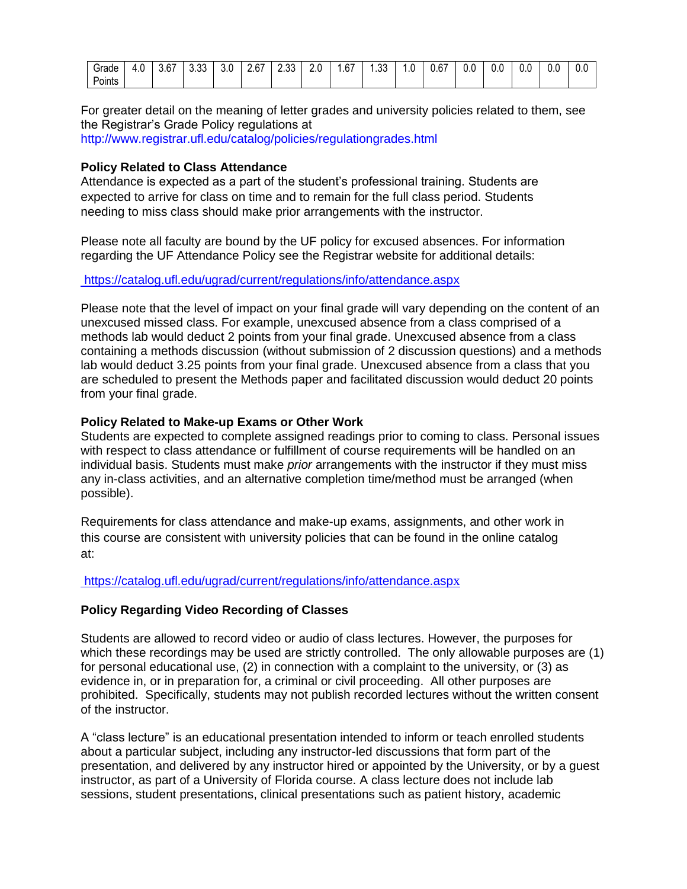| ~<br>Grade  | $\overline{\phantom{0}}$<br>. U<br>__ | $\sim$<br>ა.o⊬ | $\sim$<br>ບ.ບປ | 3.0 | - 7-<br>2.0'<br>____ | $\sim$<br>^<br>د.ب | 2.0<br>__ | $\sim$<br>. 67. .<br>$\sim$ | $\sim$<br>. . ٽ<br>__ | ں ،<br>$\sim$ | $\sim$<br>/ס.נ | 0.0<br>. . | v.J | O.C | $\Box$<br>v.v | 0.C |
|-------------|---------------------------------------|----------------|----------------|-----|----------------------|--------------------|-----------|-----------------------------|-----------------------|---------------|----------------|------------|-----|-----|---------------|-----|
| .<br>Points |                                       |                |                |     |                      |                    |           |                             |                       |               |                |            |     |     |               |     |

For greater detail on the meaning of letter grades and university policies related to them, see the Registrar's Grade Policy regulations at

http://www.registrar.ufl.edu/catalog/policies/regulationgrades.html

### **Policy Related to Class Attendance**

Attendance is expected as a part of the student's professional training. Students are expected to arrive for class on time and to remain for the full class period. Students needing to miss class should make prior arrangements with the instructor.

Please note all faculty are bound by the UF policy for excused absences. For information regarding the UF Attendance Policy see the Registrar website for additional details:

<https://catalog.ufl.edu/ugrad/current/regulations/info/attendance.aspx>

Please note that the level of impact on your final grade will vary depending on the content of an unexcused missed class. For example, unexcused absence from a class comprised of a methods lab would deduct 2 points from your final grade. Unexcused absence from a class containing a methods discussion (without submission of 2 discussion questions) and a methods lab would deduct 3.25 points from your final grade. Unexcused absence from a class that you are scheduled to present the Methods paper and facilitated discussion would deduct 20 points from your final grade.

#### **Policy Related to Make-up Exams or Other Work**

Students are expected to complete assigned readings prior to coming to class. Personal issues with respect to class attendance or fulfillment of course requirements will be handled on an individual basis. Students must make *prior* arrangements with the instructor if they must miss any in-class activities, and an alternative completion time/method must be arranged (when possible).

Requirements for class attendance and make-up exams, assignments, and other work in this course are consistent with university policies that can be found in the online catalog at:

#### [https://catalog.ufl.edu/ugrad/current/regulations/info/attendance.asp](https://catalog.ufl.edu/ugrad/current/regulations/info/attendance.aspx)x

#### **Policy Regarding Video Recording of Classes**

Students are allowed to record video or audio of class lectures. However, the purposes for which these recordings may be used are strictly controlled. The only allowable purposes are (1) for personal educational use, (2) in connection with a complaint to the university, or (3) as evidence in, or in preparation for, a criminal or civil proceeding. All other purposes are prohibited. Specifically, students may not publish recorded lectures without the written consent of the instructor.

A "class lecture" is an educational presentation intended to inform or teach enrolled students about a particular subject, including any instructor-led discussions that form part of the presentation, and delivered by any instructor hired or appointed by the University, or by a guest instructor, as part of a University of Florida course. A class lecture does not include lab sessions, student presentations, clinical presentations such as patient history, academic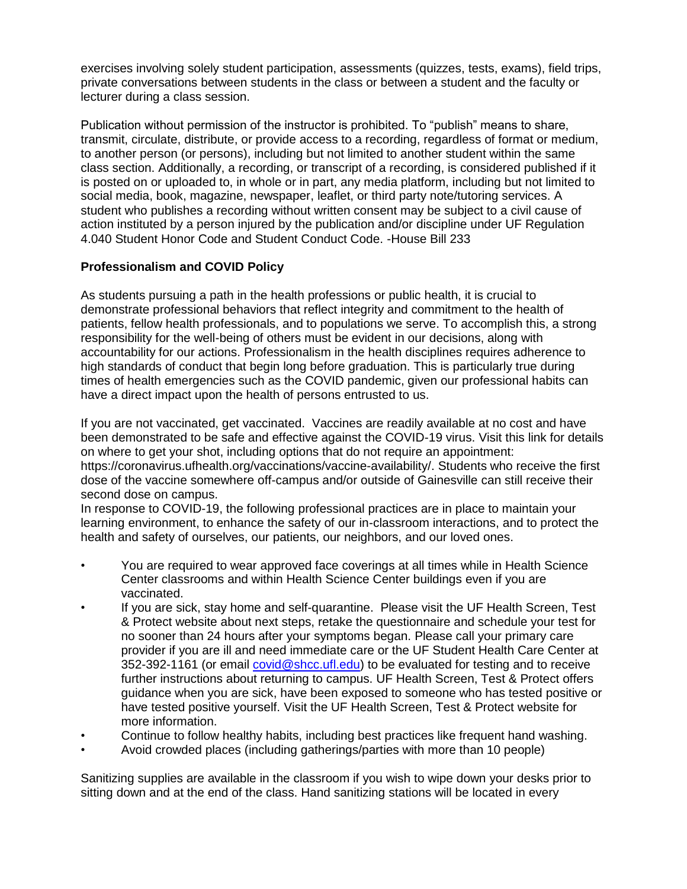exercises involving solely student participation, assessments (quizzes, tests, exams), field trips, private conversations between students in the class or between a student and the faculty or lecturer during a class session.

Publication without permission of the instructor is prohibited. To "publish" means to share, transmit, circulate, distribute, or provide access to a recording, regardless of format or medium, to another person (or persons), including but not limited to another student within the same class section. Additionally, a recording, or transcript of a recording, is considered published if it is posted on or uploaded to, in whole or in part, any media platform, including but not limited to social media, book, magazine, newspaper, leaflet, or third party note/tutoring services. A student who publishes a recording without written consent may be subject to a civil cause of action instituted by a person injured by the publication and/or discipline under UF Regulation 4.040 Student Honor Code and Student Conduct Code. -House Bill 233

### **Professionalism and COVID Policy**

As students pursuing a path in the health professions or public health, it is crucial to demonstrate professional behaviors that reflect integrity and commitment to the health of patients, fellow health professionals, and to populations we serve. To accomplish this, a strong responsibility for the well-being of others must be evident in our decisions, along with accountability for our actions. Professionalism in the health disciplines requires adherence to high standards of conduct that begin long before graduation. This is particularly true during times of health emergencies such as the COVID pandemic, given our professional habits can have a direct impact upon the health of persons entrusted to us.

If you are not vaccinated, get vaccinated. Vaccines are readily available at no cost and have been demonstrated to be safe and effective against the COVID-19 virus. Visit this link for details on where to get your shot, including options that do not require an appointment: https://coronavirus.ufhealth.org/vaccinations/vaccine-availability/. Students who receive the first dose of the vaccine somewhere off-campus and/or outside of Gainesville can still receive their second dose on campus.

In response to COVID-19, the following professional practices are in place to maintain your learning environment, to enhance the safety of our in-classroom interactions, and to protect the health and safety of ourselves, our patients, our neighbors, and our loved ones.

- You are required to wear approved face coverings at all times while in Health Science Center classrooms and within Health Science Center buildings even if you are vaccinated.
- If you are sick, stay home and self-quarantine. Please visit the UF Health Screen, Test & Protect website about next steps, retake the questionnaire and schedule your test for no sooner than 24 hours after your symptoms began. Please call your primary care provider if you are ill and need immediate care or the UF Student Health Care Center at 352-392-1161 (or email [covid@shcc.ufl.edu\)](mailto:covid@shcc.ufl.edu) to be evaluated for testing and to receive further instructions about returning to campus. UF Health Screen, Test & Protect offers guidance when you are sick, have been exposed to someone who has tested positive or have tested positive yourself. Visit the UF Health Screen, Test & Protect website for more information.
- Continue to follow healthy habits, including best practices like frequent hand washing.
- Avoid crowded places (including gatherings/parties with more than 10 people)

Sanitizing supplies are available in the classroom if you wish to wipe down your desks prior to sitting down and at the end of the class. Hand sanitizing stations will be located in every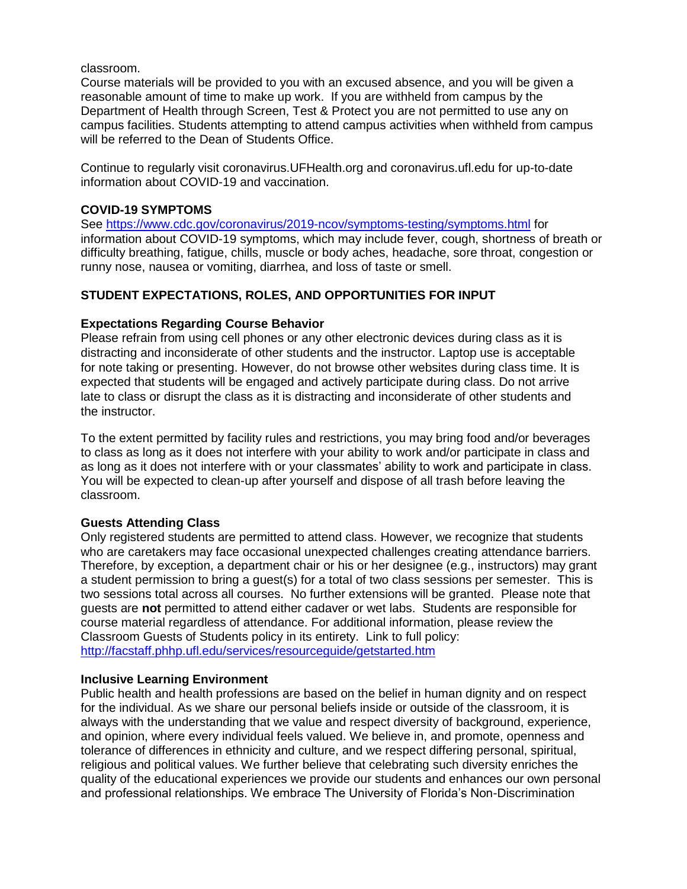classroom.

Course materials will be provided to you with an excused absence, and you will be given a reasonable amount of time to make up work. If you are withheld from campus by the Department of Health through Screen, Test & Protect you are not permitted to use any on campus facilities. Students attempting to attend campus activities when withheld from campus will be referred to the Dean of Students Office.

Continue to regularly visit coronavirus.UFHealth.org and coronavirus.ufl.edu for up-to-date information about COVID-19 and vaccination.

### **COVID-19 SYMPTOMS**

See<https://www.cdc.gov/coronavirus/2019-ncov/symptoms-testing/symptoms.html> for information about COVID-19 symptoms, which may include fever, cough, shortness of breath or difficulty breathing, fatigue, chills, muscle or body aches, headache, sore throat, congestion or runny nose, nausea or vomiting, diarrhea, and loss of taste or smell.

## **STUDENT EXPECTATIONS, ROLES, AND OPPORTUNITIES FOR INPUT**

### **Expectations Regarding Course Behavior**

Please refrain from using cell phones or any other electronic devices during class as it is distracting and inconsiderate of other students and the instructor. Laptop use is acceptable for note taking or presenting. However, do not browse other websites during class time. It is expected that students will be engaged and actively participate during class. Do not arrive late to class or disrupt the class as it is distracting and inconsiderate of other students and the instructor.

To the extent permitted by facility rules and restrictions, you may bring food and/or beverages to class as long as it does not interfere with your ability to work and/or participate in class and as long as it does not interfere with or your classmates' ability to work and participate in class. You will be expected to clean-up after yourself and dispose of all trash before leaving the classroom.

### **Guests Attending Class**

Only registered students are permitted to attend class. However, we recognize that students who are caretakers may face occasional unexpected challenges creating attendance barriers. Therefore, by exception, a department chair or his or her designee (e.g., instructors) may grant a student permission to bring a guest(s) for a total of two class sessions per semester. This is two sessions total across all courses. No further extensions will be granted. Please note that guests are **not** permitted to attend either cadaver or wet labs. Students are responsible for course material regardless of attendance. For additional information, please review the Classroom Guests of Students policy in its entirety. Link to full policy: <http://facstaff.phhp.ufl.edu/services/resourceguide/getstarted.htm>

### **Inclusive Learning Environment**

Public health and health professions are based on the belief in human dignity and on respect for the individual. As we share our personal beliefs inside or outside of the classroom, it is always with the understanding that we value and respect diversity of background, experience, and opinion, where every individual feels valued. We believe in, and promote, openness and tolerance of differences in ethnicity and culture, and we respect differing personal, spiritual, religious and political values. We further believe that celebrating such diversity enriches the quality of the educational experiences we provide our students and enhances our own personal and professional relationships. We embrace The University of Florida's Non-Discrimination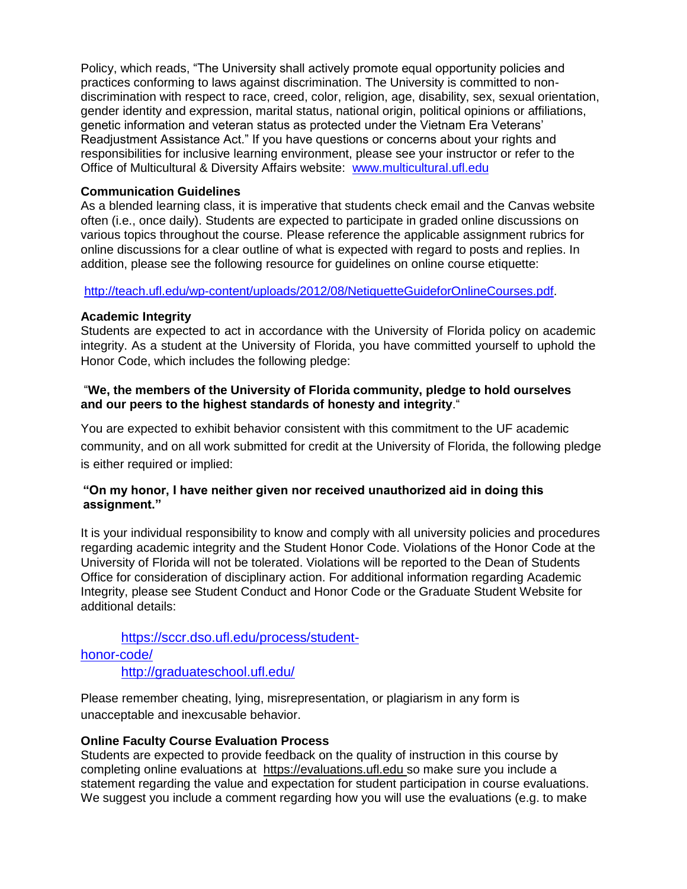Policy, which reads, "The University shall actively promote equal opportunity policies and practices conforming to laws against discrimination. The University is committed to nondiscrimination with respect to race, creed, color, religion, age, disability, sex, sexual orientation, gender identity and expression, marital status, national origin, political opinions or affiliations, genetic information and veteran status as protected under the Vietnam Era Veterans' Readjustment Assistance Act." If you have questions or concerns about your rights and responsibilities for inclusive learning environment, please see your instructor or refer to the Office of Multicultural & Diversity Affairs website: [www.multicultural.ufl.edu](http://www.multicultural.ufl.edu/)

#### **Communication Guidelines**

As a blended learning class, it is imperative that students check email and the Canvas website often (i.e., once daily). Students are expected to participate in graded online discussions on various topics throughout the course. Please reference the applicable assignment rubrics for online discussions for a clear outline of what is expected with regard to posts and replies. In addition, please see the following resource for guidelines on online course etiquette:

[http://teach.ufl.edu/wp-content/uploads/2012/08/NetiquetteGuideforOnlineCourses.pdf.](http://teach.ufl.edu/wp-content/uploads/2012/08/NetiquetteGuideforOnlineCourses.pdf)

#### **Academic Integrity**

Students are expected to act in accordance with the University of Florida policy on academic integrity. As a student at the University of Florida, you have committed yourself to uphold the Honor Code, which includes the following pledge:

### "**We, the members of the University of Florida community, pledge to hold ourselves and our peers to the highest standards of honesty and integrity**."

You are expected to exhibit behavior consistent with this commitment to the UF academic community, and on all work submitted for credit at the University of Florida, the following pledge is either required or implied:

### **"On my honor, I have neither given nor received unauthorized aid in doing this assignment."**

It is your individual responsibility to know and comply with all university policies and procedures regarding academic integrity and the Student Honor Code. Violations of the Honor Code at the University of Florida will not be tolerated. Violations will be reported to the Dean of Students Office for consideration of disciplinary action. For additional information regarding Academic Integrity, please see Student Conduct and Honor Code or the Graduate Student Website for additional details:

# [https://sccr.dso.ufl.edu/process/student](https://sccr.dso.ufl.edu/process/student-honor-code/)[honor-code/](https://sccr.dso.ufl.edu/process/student-honor-code/)

<http://graduateschool.ufl.edu/>

Please remember cheating, lying, misrepresentation, or plagiarism in any form is unacceptable and inexcusable behavior.

### **Online Faculty Course Evaluation Process**

Students are expected to provide feedback on the quality of instruction in this course by completing online evaluations at [https://evaluations.ufl.edu](https://evaluations.ufl.edu/) so make sure you include a statement regarding the value and expectation for student participation in course evaluations. We suggest you include a comment regarding how you will use the evaluations (e.g. to make